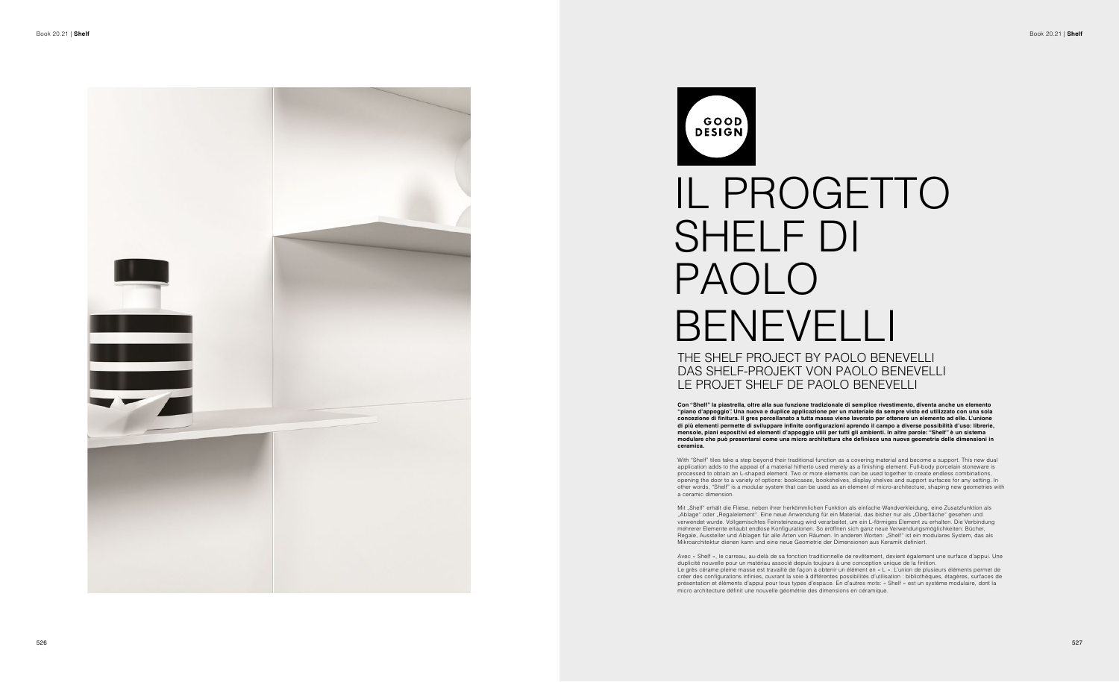

GOOD **DESIGN** SHELF DI PAOLO

## IL PROGETTO BENEVELLI THE SHELF PROJECT BY PAOLO BENEVELLI DAS SHELF-PROJEKT VON PAOLO BENEVELLI LE PROJET SHELF DE PAOLO BENEVELLI

**Con "Shelf" la piastrella, oltre alla sua funzione tradizionale di semplice rivestimento, diventa anche un elemento "piano d'appoggio". Una nuova e duplice applicazione per un materiale da sempre visto ed utilizzato con una sola concezione di finitura. Il gres porcellanato a tutta massa viene lavorato per ottenere un elemento ad elle. L'unione di più elementi permette di sviluppare infinite configurazioni aprendo il campo a diverse possibilità d'uso: librerie, mensole, piani espositivi ed elementi d'appoggio utili per tutti gli ambienti. In altre parole: "Shelf" è un sistema modulare che può presentarsi come una micro architettura che definisce una nuova geometria delle dimensioni in ceramica.**

With "Shelf" tiles take a step beyond their traditional function as a covering material and become a support. This new dual application adds to the appeal of a material hitherto used merely as a finishing element. Full-body porcelain stoneware is processed to obtain an L-shaped element. Two or more elements can be used together to create endless combinations, opening the door to a variety of options: bookcases, bookshelves, display shelves and support surfaces for any setting. In other words, "Shelf" is a modular system that can be used as an element of micro-architecture, shaping new geometries with a ceramic dimension.

Mit "Shelf" erhält die Fliese, neben ihrer herkömmlichen Funktion als einfache Wandverkleidung, eine Zusatzfunktion als "Ablage" oder "Regalelement". Eine neue Anwendung für ein Material, das bisher nur als "Oberfläche" gesehen und verwendet wurde. Vollgemischtes Feinsteinzeug wird verarbeitet, um ein L-förmiges Element zu erhalten. Die Verbindung mehrerer Elemente erlaubt endlose Konfigurationen. So eröffnen sich ganz neue Verwendungsmöglichkeiten: Bücher, Regale, Aussteller und Ablagen für alle Arten von Räumen. In anderen Worten: "Shelf" ist ein modulares System, das als Mikroarchitektur dienen kann und eine neue Geometrie der Dimensionen aus Keramik definiert.

Avec « Shelf », le carreau, au-delà de sa fonction traditionnelle de revêtement, devient également une surface d'appui. Une duplicité nouvelle pour un matériau associé depuis toujours à une conception unique de la finition. Le grès cérame pleine masse est travaillé de façon à obtenir un élément en « L ». L'union de plusieurs éléments permet de créer des configurations infinies, ouvrant la voie à différentes possibilités d'utilisation : bibliothèques, étagères, surfaces de présentation et éléments d'appui pour tous types d'espace. En d'autres mots: « Shelf » est un système modulaire, dont la micro architecture définit une nouvelle géométrie des dimensions en céramique.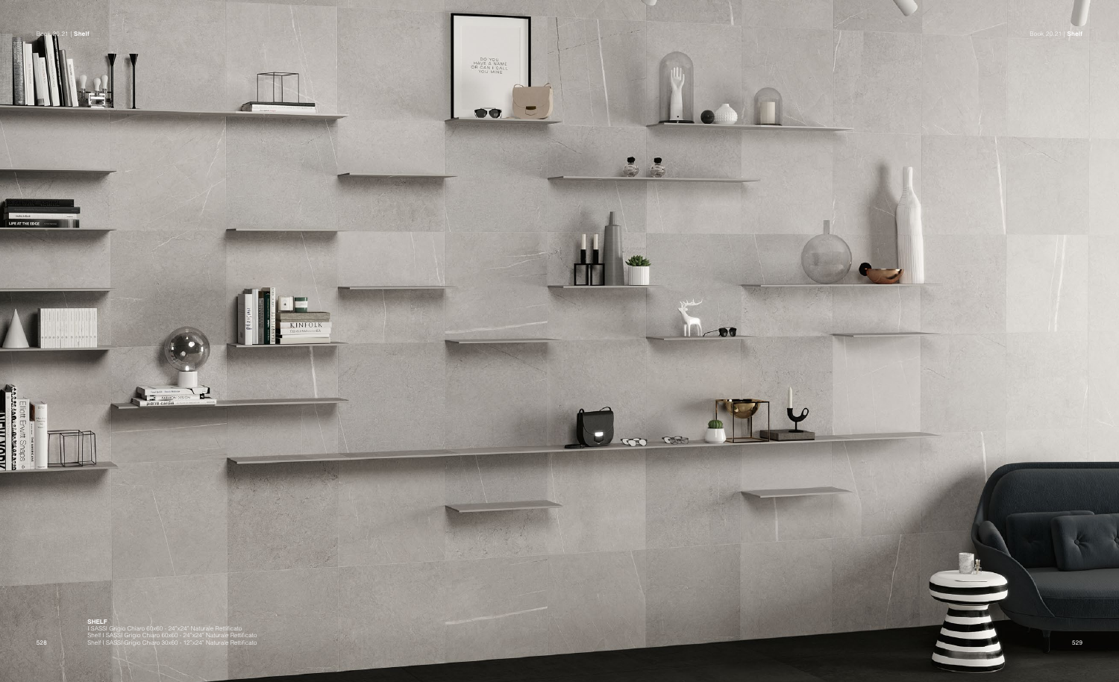